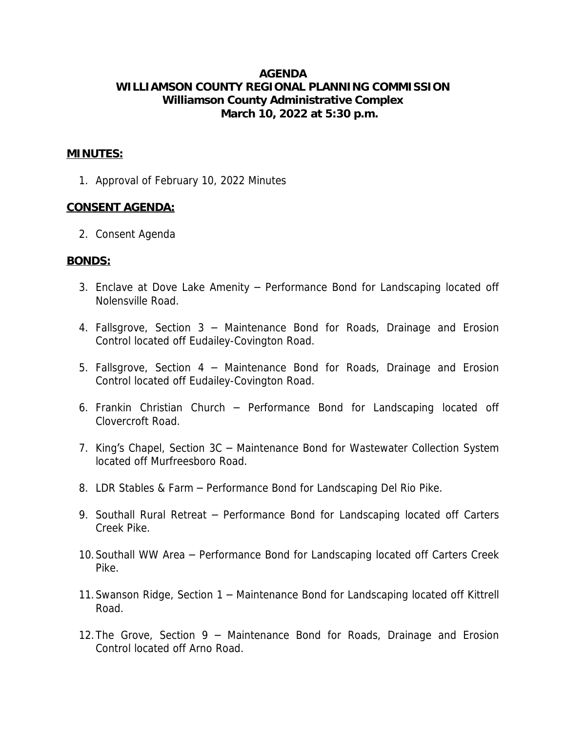# **AGENDA WILLIAMSON COUNTY REGIONAL PLANNING COMMISSION Williamson County Administrative Complex March 10, 2022 at 5:30 p.m.**

#### **MINUTES:**

1. Approval of February 10, 2022 Minutes

### **CONSENT AGENDA:**

2. Consent Agenda

#### **BONDS:**

- 3. Enclave at Dove Lake Amenity Performance Bond for Landscaping located off Nolensville Road.
- 4. Fallsgrove, Section 3 Maintenance Bond for Roads, Drainage and Erosion Control located off Eudailey-Covington Road.
- 5. Fallsgrove, Section 4 Maintenance Bond for Roads, Drainage and Erosion Control located off Eudailey-Covington Road.
- 6. Frankin Christian Church Performance Bond for Landscaping located off Clovercroft Road.
- 7. King's Chapel, Section 3C Maintenance Bond for Wastewater Collection System located off Murfreesboro Road.
- 8. LDR Stables & Farm Performance Bond for Landscaping Del Rio Pike.
- 9. Southall Rural Retreat Performance Bond for Landscaping located off Carters Creek Pike.
- 10.Southall WW Area Performance Bond for Landscaping located off Carters Creek Pike.
- 11.Swanson Ridge, Section 1 Maintenance Bond for Landscaping located off Kittrell Road.
- 12.The Grove, Section 9 Maintenance Bond for Roads, Drainage and Erosion Control located off Arno Road.